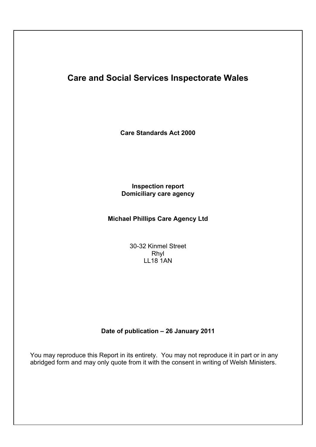# **Care and Social Services Inspectorate Wales**

**Care Standards Act 2000**

# **Inspection report Domiciliary care agency**

# **Michael Phillips Care Agency Ltd**

30-32 Kinmel Street Rhyl LL18 1AN

# **Date of publication – 26 January 2011**

You may reproduce this Report in its entirety. You may not reproduce it in part or in any abridged form and may only quote from it with the consent in writing of Welsh Ministers.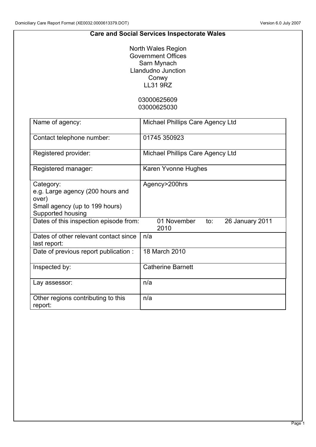## **Care and Social Services Inspectorate Wales**

North Wales Region Government Offices Sarn Mynach Llandudno Junction Conwy LL31 9RZ

> 03000625609 03000625030

| Name of agency:                                                                                               | Michael Phillips Care Agency Ltd              |
|---------------------------------------------------------------------------------------------------------------|-----------------------------------------------|
| Contact telephone number:                                                                                     | 01745 350923                                  |
| Registered provider:                                                                                          | Michael Phillips Care Agency Ltd              |
| Registered manager:                                                                                           | Karen Yvonne Hughes                           |
| Category:<br>e.g. Large agency (200 hours and<br>over)<br>Small agency (up to 199 hours)<br>Supported housing | Agency>200hrs                                 |
| Dates of this inspection episode from:                                                                        | 01 November<br>to:<br>26 January 2011<br>2010 |
| Dates of other relevant contact since<br>last report:                                                         | n/a                                           |
| Date of previous report publication:                                                                          | 18 March 2010                                 |
| Inspected by:                                                                                                 | <b>Catherine Barnett</b>                      |
| Lay assessor:                                                                                                 | n/a                                           |
| Other regions contributing to this<br>report:                                                                 | n/a                                           |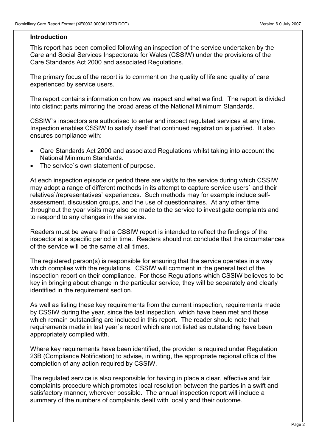#### **Introduction**

This report has been compiled following an inspection of the service undertaken by the Care and Social Services Inspectorate for Wales (CSSIW) under the provisions of the Care Standards Act 2000 and associated Regulations.

The primary focus of the report is to comment on the quality of life and quality of care experienced by service users.

The report contains information on how we inspect and what we find. The report is divided into distinct parts mirroring the broad areas of the National Minimum Standards.

CSSIW`s inspectors are authorised to enter and inspect regulated services at any time. Inspection enables CSSIW to satisfy itself that continued registration is justified. It also ensures compliance with:

- Care Standards Act 2000 and associated Regulations whilst taking into account the National Minimum Standards.
- The service`s own statement of purpose.

At each inspection episode or period there are visit/s to the service during which CSSIW may adopt a range of different methods in its attempt to capture service users` and their relatives`/representatives` experiences. Such methods may for example include selfassessment, discussion groups, and the use of questionnaires. At any other time throughout the year visits may also be made to the service to investigate complaints and to respond to any changes in the service.

Readers must be aware that a CSSIW report is intended to reflect the findings of the inspector at a specific period in time. Readers should not conclude that the circumstances of the service will be the same at all times.

The registered person(s) is responsible for ensuring that the service operates in a way which complies with the regulations. CSSIW will comment in the general text of the inspection report on their compliance. For those Regulations which CSSIW believes to be key in bringing about change in the particular service, they will be separately and clearly identified in the requirement section.

As well as listing these key requirements from the current inspection, requirements made by CSSIW during the year, since the last inspection, which have been met and those which remain outstanding are included in this report. The reader should note that requirements made in last year`s report which are not listed as outstanding have been appropriately complied with.

Where key requirements have been identified, the provider is required under Regulation 23B (Compliance Notification) to advise, in writing, the appropriate regional office of the completion of any action required by CSSIW.

The regulated service is also responsible for having in place a clear, effective and fair complaints procedure which promotes local resolution between the parties in a swift and satisfactory manner, wherever possible. The annual inspection report will include a summary of the numbers of complaints dealt with locally and their outcome.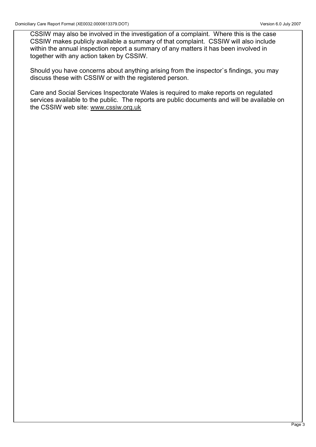CSSIW may also be involved in the investigation of a complaint. Where this is the case CSSIW makes publicly available a summary of that complaint. CSSIW will also include within the annual inspection report a summary of any matters it has been involved in together with any action taken by CSSIW.

Should you have concerns about anything arising from the inspector`s findings, you may discuss these with CSSIW or with the registered person.

Care and Social Services Inspectorate Wales is required to make reports on regulated services available to the public. The reports are public documents and will be available on the CSSIW web site: www.cssiw.org.uk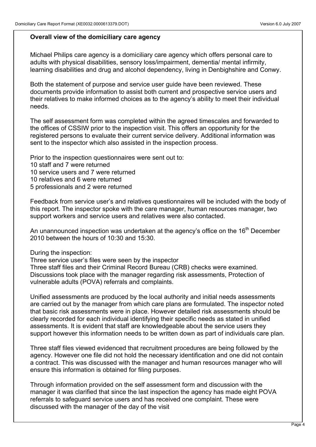## **Overall view of the domiciliary care agency**

Michael Philips care agency is a domiciliary care agency which offers personal care to adults with physical disabilities, sensory loss/impairment, dementia/ mental infirmity, learning disabilities and drug and alcohol dependency, living in Denbighshire and Conwy.

Both the statement of purpose and service user guide have been reviewed. These documents provide information to assist both current and prospective service users and their relatives to make informed choices as to the agency's ability to meet their individual needs.

The self assessment form was completed within the agreed timescales and forwarded to the offices of CSSIW prior to the inspection visit. This offers an opportunity for the registered persons to evaluate their current service delivery. Additional information was sent to the inspector which also assisted in the inspection process.

Prior to the inspection questionnaires were sent out to:

- 10 staff and 7 were returned
- 10 service users and 7 were returned
- 10 relatives and 6 were returned
- 5 professionals and 2 were returned

Feedback from service user's and relatives questionnaires will be included with the body of this report. The inspector spoke with the care manager, human resources manager, two support workers and service users and relatives were also contacted.

An unannounced inspection was undertaken at the agency's office on the 16<sup>th</sup> December 2010 between the hours of 10:30 and 15:30.

During the inspection:

Three service user's files were seen by the inspector Three staff files and their Criminal Record Bureau (CRB) checks were examined. Discussions took place with the manager regarding risk assessments, Protection of vulnerable adults (POVA) referrals and complaints.

Unified assessments are produced by the local authority and initial needs assessments are carried out by the manager from which care plans are formulated. The inspector noted that basic risk assessments were in place. However detailed risk assessments should be clearly recorded for each individual identifying their specific needs as stated in unified assessments. It is evident that staff are knowledgeable about the service users they support however this information needs to be written down as part of individuals care plan.

Three staff files viewed evidenced that recruitment procedures are being followed by the agency. However one file did not hold the necessary identification and one did not contain a contract. This was discussed with the manager and human resources manager who will ensure this information is obtained for filing purposes.

Through information provided on the self assessment form and discussion with the manager it was clarified that since the last inspection the agency has made eight POVA referrals to safeguard service users and has received one complaint. These were discussed with the manager of the day of the visit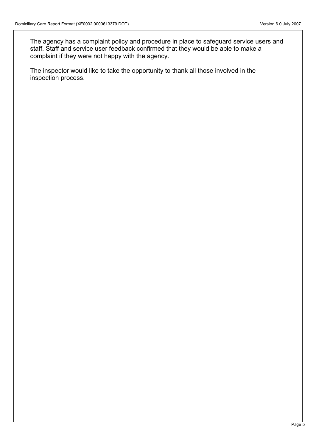The agency has a complaint policy and procedure in place to safeguard service users and staff. Staff and service user feedback confirmed that they would be able to make a complaint if they were not happy with the agency.

The inspector would like to take the opportunity to thank all those involved in the inspection process.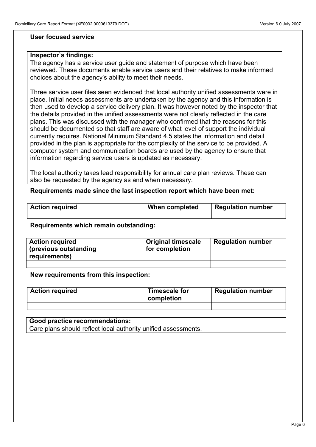### **User focused service**

#### **Inspector`s findings:**

The agency has a service user guide and statement of purpose which have been reviewed. These documents enable service users and their relatives to make informed choices about the agency's ability to meet their needs.

Three service user files seen evidenced that local authority unified assessments were in place. Initial needs assessments are undertaken by the agency and this information is then used to develop a service delivery plan. It was however noted by the inspector that the details provided in the unified assessments were not clearly reflected in the care plans. This was discussed with the manager who confirmed that the reasons for this should be documented so that staff are aware of what level of support the individual currently requires. National Minimum Standard 4.5 states the information and detail provided in the plan is appropriate for the complexity of the service to be provided. A computer system and communication boards are used by the agency to ensure that information regarding service users is updated as necessary.

The local authority takes lead responsibility for annual care plan reviews. These can also be requested by the agency as and when necessary.

**Requirements made since the last inspection report which have been met:**

| <b>Action required</b> | When completed | <b>Regulation number</b> |
|------------------------|----------------|--------------------------|
|                        |                |                          |

#### **Requirements which remain outstanding:**

| <b>Action required</b><br>(previous outstanding<br>requirements) | <b>Original timescale</b><br>for completion | <b>Regulation number</b> |
|------------------------------------------------------------------|---------------------------------------------|--------------------------|
|                                                                  |                                             |                          |

#### **New requirements from this inspection:**

| <b>Action required</b> | Timescale for<br>completion | <b>Regulation number</b> |
|------------------------|-----------------------------|--------------------------|
|                        |                             |                          |

# **Good practice recommendations:**  Care plans should reflect local authority unified assessments.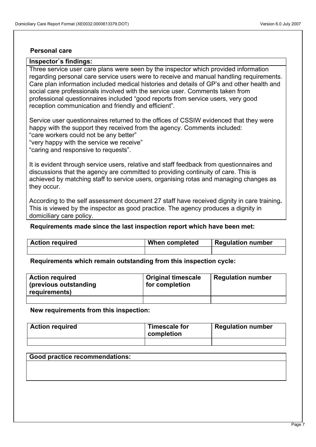#### **Personal care**

#### **Inspector`s findings:**

Three service user care plans were seen by the inspector which provided information regarding personal care service users were to receive and manual handling requirements. Care plan information included medical histories and details of GP's and other health and social care professionals involved with the service user. Comments taken from professional questionnaires included "good reports from service users, very good reception communication and friendly and efficient".

Service user questionnaires returned to the offices of CSSIW evidenced that they were happy with the support they received from the agency. Comments included: "care workers could not be any better" "very happy with the service we receive"

"caring and responsive to requests".

It is evident through service users, relative and staff feedback from questionnaires and discussions that the agency are committed to providing continuity of care. This is achieved by matching staff to service users, organising rotas and managing changes as they occur.

According to the self assessment document 27 staff have received dignity in care training**.** This is viewed by the inspector as good practice. The agency produces a dignity in domiciliary care policy.

#### **Requirements made since the last inspection report which have been met:**

| <b>Action required</b> | When completed | <b>Regulation number</b> |
|------------------------|----------------|--------------------------|
|                        |                |                          |

**Requirements which remain outstanding from this inspection cycle:**

| <b>Action required</b><br>(previous outstanding<br>requirements) | <b>Original timescale</b><br>for completion | <b>Regulation number</b> |
|------------------------------------------------------------------|---------------------------------------------|--------------------------|
|                                                                  |                                             |                          |

**New requirements from this inspection:**

| <b>Action required</b> | <b>Timescale for</b><br>completion | <b>Regulation number</b> |
|------------------------|------------------------------------|--------------------------|
|                        |                                    |                          |

#### **Good practice recommendations:**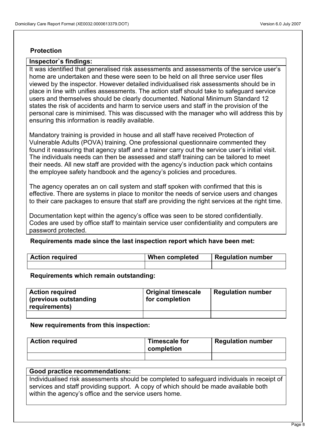## **Protection**

### **Inspector`s findings:**

It was identified that generalised risk assessments and assessments of the service user's home are undertaken and these were seen to be held on all three service user files viewed by the inspector. However detailed individualised risk assessments should be in place in line with unifies assessments. The action staff should take to safeguard service users and themselves should be clearly documented. National Minimum Standard 12 states the risk of accidents and harm to service users and staff in the provision of the personal care is minimised. This was discussed with the manager who will address this by ensuring this information is readily available.

Mandatory training is provided in house and all staff have received Protection of Vulnerable Adults (POVA) training. One professional questionnaire commented they found it reassuring that agency staff and a trainer carry out the service user's initial visit. The individuals needs can then be assessed and staff training can be tailored to meet their needs. All new staff are provided with the agency's induction pack which contains the employee safety handbook and the agency's policies and procedures.

The agency operates an on call system and staff spoken with confirmed that this is effective. There are systems in place to monitor the needs of service users and changes to their care packages to ensure that staff are providing the right services at the right time.

Documentation kept within the agency's office was seen to be stored confidentially. Codes are used by office staff to maintain service user confidentiality and computers are password protected.

#### **Requirements made since the last inspection report which have been met:**

| <b>Action required</b> | When completed | <b>Regulation number</b> |
|------------------------|----------------|--------------------------|
|                        |                |                          |

#### **Requirements which remain outstanding:**

| <b>Action required</b><br>(previous outstanding<br>requirements) | <b>Original timescale</b><br>for completion | <b>Regulation number</b> |
|------------------------------------------------------------------|---------------------------------------------|--------------------------|
|                                                                  |                                             |                          |

#### **New requirements from this inspection:**

| <b>Action required</b> | <b>Timescale for</b><br>completion | <b>Regulation number</b> |
|------------------------|------------------------------------|--------------------------|
|                        |                                    |                          |

#### **Good practice recommendations:**

Individualised risk assessments should be completed to safeguard individuals in receipt of services and staff providing support. A copy of which should be made available both within the agency's office and the service users home.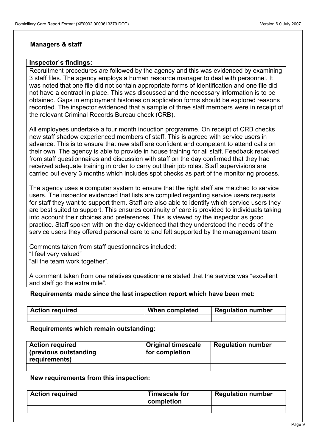## **Managers & staff**

## **Inspector`s findings:**

Recruitment procedures are followed by the agency and this was evidenced by examining 3 staff files. The agency employs a human resource manager to deal with personnel. It was noted that one file did not contain appropriate forms of identification and one file did not have a contract in place. This was discussed and the necessary information is to be obtained. Gaps in employment histories on application forms should be explored reasons recorded. The inspector evidenced that a sample of three staff members were in receipt of the relevant Criminal Records Bureau check (CRB).

All employees undertake a four month induction programme. On receipt of CRB checks new staff shadow experienced members of staff. This is agreed with service users in advance. This is to ensure that new staff are confident and competent to attend calls on their own. The agency is able to provide in house training for all staff. Feedback received from staff questionnaires and discussion with staff on the day confirmed that they had received adequate training in order to carry out their job roles. Staff supervisions are carried out every 3 months which includes spot checks as part of the monitoring process.

The agency uses a computer system to ensure that the right staff are matched to service users. The inspector evidenced that lists are compiled regarding service users requests for staff they want to support them. Staff are also able to identify which service users they are best suited to support. This ensures continuity of care is provided to individuals taking into account their choices and preferences. This is viewed by the inspector as good practice. Staff spoken with on the day evidenced that they understood the needs of the service users they offered personal care to and felt supported by the management team.

Comments taken from staff questionnaires included: "I feel very valued" "all the team work together".

A comment taken from one relatives questionnaire stated that the service was "excellent and staff go the extra mile".

#### **Requirements made since the last inspection report which have been met:**

| <b>Action required</b> | When completed | <b>Regulation number</b> |
|------------------------|----------------|--------------------------|
|                        |                |                          |

#### **Requirements which remain outstanding:**

| <b>Action required</b><br>(previous outstanding)<br>requirements) | Original timescale<br>for completion | <b>Regulation number</b> |
|-------------------------------------------------------------------|--------------------------------------|--------------------------|
|                                                                   |                                      |                          |

**New requirements from this inspection:**

| <b>Action required</b> | Timescale for<br>completion | <b>Regulation number</b> |
|------------------------|-----------------------------|--------------------------|
|                        |                             |                          |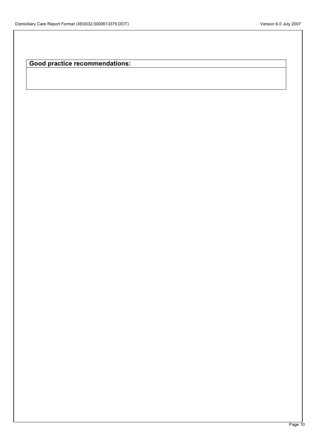**Good practice recommendations:**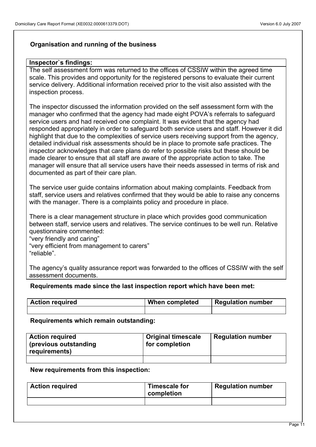## **Organisation and running of the business**

## **Inspector`s findings:**

The self assessment form was returned to the offices of CSSIW within the agreed time scale. This provides and opportunity for the registered persons to evaluate their current service delivery. Additional information received prior to the visit also assisted with the inspection process.

The inspector discussed the information provided on the self assessment form with the manager who confirmed that the agency had made eight POVA's referrals to safeguard service users and had received one complaint. It was evident that the agency had responded appropriately in order to safeguard both service users and staff. However it did highlight that due to the complexities of service users receiving support from the agency, detailed individual risk assessments should be in place to promote safe practices. The inspector acknowledges that care plans do refer to possible risks but these should be made clearer to ensure that all staff are aware of the appropriate action to take. The manager will ensure that all service users have their needs assessed in terms of risk and documented as part of their care plan.

The service user guide contains information about making complaints. Feedback from staff, service users and relatives confirmed that they would be able to raise any concerns with the manager. There is a complaints policy and procedure in place.

There is a clear management structure in place which provides good communication between staff, service users and relatives. The service continues to be well run. Relative questionnaire commented:

"very friendly and caring"

"very efficient from management to carers" "reliable".

The agency's quality assurance report was forwarded to the offices of CSSIW with the self assessment documents.

**Requirements made since the last inspection report which have been met:**

| <b>Action required</b> | When completed | <b>Regulation number</b> |
|------------------------|----------------|--------------------------|
|                        |                |                          |

#### **Requirements which remain outstanding:**

| <b>Action required</b><br>(previous outstanding<br>requirements) | <b>Original timescale</b><br>for completion | <b>Regulation number</b> |
|------------------------------------------------------------------|---------------------------------------------|--------------------------|
|                                                                  |                                             |                          |

#### **New requirements from this inspection:**

| <b>Action required</b> | Timescale for<br>completion | <b>Regulation number</b> |
|------------------------|-----------------------------|--------------------------|
|                        |                             |                          |